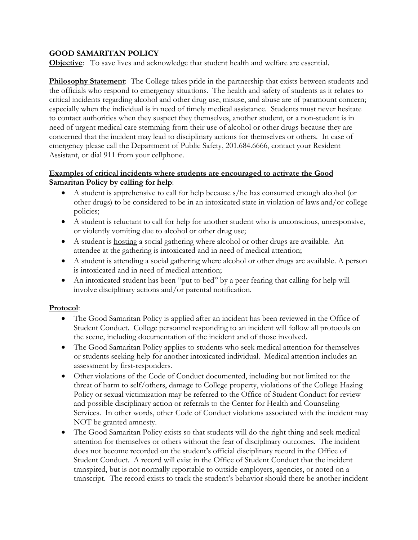## **GOOD SAMARITAN POLICY**

**Objective**: To save lives and acknowledge that student health and welfare are essential.

**Philosophy Statement**: The College takes pride in the partnership that exists between students and the officials who respond to emergency situations. The health and safety of students as it relates to critical incidents regarding alcohol and other drug use, misuse, and abuse are of paramount concern; especially when the individual is in need of timely medical assistance. Students must never hesitate to contact authorities when they suspect they themselves, another student, or a non-student is in need of urgent medical care stemming from their use of alcohol or other drugs because they are concerned that the incident may lead to disciplinary actions for themselves or others. In case of emergency please call the Department of Public Safety, 201.684.6666, contact your Resident Assistant, or dial 911 from your cellphone.

## **Examples of critical incidents where students are encouraged to activate the Good Samaritan Policy by calling for help**:

- A student is apprehensive to call for help because s/he has consumed enough alcohol (or other drugs) to be considered to be in an intoxicated state in violation of laws and/or college policies;
- A student is reluctant to call for help for another student who is unconscious, unresponsive, or violently vomiting due to alcohol or other drug use;
- A student is **hosting** a social gathering where alcohol or other drugs are available. An attendee at the gathering is intoxicated and in need of medical attention;
- A student is attending a social gathering where alcohol or other drugs are available. A person is intoxicated and in need of medical attention;
- An intoxicated student has been "put to bed" by a peer fearing that calling for help will involve disciplinary actions and/or parental notification.

## **Protocol**:

- The Good Samaritan Policy is applied after an incident has been reviewed in the Office of Student Conduct. College personnel responding to an incident will follow all protocols on the scene, including documentation of the incident and of those involved.
- The Good Samaritan Policy applies to students who seek medical attention for themselves or students seeking help for another intoxicated individual. Medical attention includes an assessment by first-responders.
- Other violations of the Code of Conduct documented, including but not limited to: the threat of harm to self/others, damage to College property, violations of the College Hazing Policy or sexual victimization may be referred to the Office of Student Conduct for review and possible disciplinary action or referrals to the Center for Health and Counseling Services. In other words, other Code of Conduct violations associated with the incident may NOT be granted amnesty.
- The Good Samaritan Policy exists so that students will do the right thing and seek medical attention for themselves or others without the fear of disciplinary outcomes. The incident does not become recorded on the student's official disciplinary record in the Office of Student Conduct. A record will exist in the Office of Student Conduct that the incident transpired, but is not normally reportable to outside employers, agencies, or noted on a transcript. The record exists to track the student's behavior should there be another incident